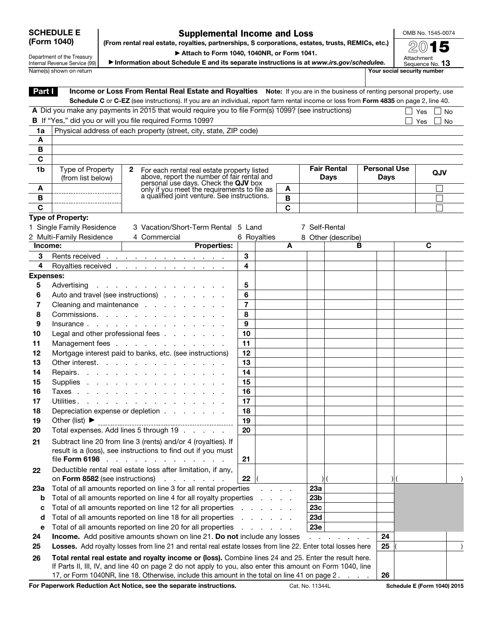## SCHEDULE E (Form 1040)

## Supplemental Income and Loss (From rental real estate, royalties, partnerships, S corporations, estates, trusts, REMICs, etc.)

OMB No. 1545-0074

Department of the Treasury Internal Revenue Service (99) ▶ Attach to Form 1040, 1040NR, or Form 1041.

▶ Information about Schedule E and its separate instructions is at *www.irs.gov/schedulee.*

2015 Attachment<br>Sequence No. **13** 

|                  | Name(s) shown on return                                                                             |                                                                                                                                       |                 |                                          |              |                    |                    |                     |    | Your social security number |  |  |  |
|------------------|-----------------------------------------------------------------------------------------------------|---------------------------------------------------------------------------------------------------------------------------------------|-----------------|------------------------------------------|--------------|--------------------|--------------------|---------------------|----|-----------------------------|--|--|--|
| Part I           |                                                                                                     | Income or Loss From Rental Real Estate and Royalties Note: If you are in the business of renting personal property, use               |                 |                                          |              |                    |                    |                     |    |                             |  |  |  |
|                  |                                                                                                     | Schedule C or C-EZ (see instructions). If you are an individual, report farm rental income or loss from Form 4835 on page 2, line 40. |                 |                                          |              |                    |                    |                     |    |                             |  |  |  |
|                  | A Did you make any payments in 2015 that would require you to file Form(s) 1099? (see instructions) |                                                                                                                                       |                 | Yes     No                               |              |                    |                    |                     |    |                             |  |  |  |
|                  | B If "Yes," did you or will you file required Forms 1099?                                           |                                                                                                                                       |                 | Yes<br>$\blacksquare$                    | <b>No</b>    |                    |                    |                     |    |                             |  |  |  |
| 1a               |                                                                                                     | Physical address of each property (street, city, state, ZIP code)                                                                     |                 |                                          |              |                    |                    |                     |    |                             |  |  |  |
| A                |                                                                                                     |                                                                                                                                       |                 |                                          |              |                    |                    |                     |    |                             |  |  |  |
| В                |                                                                                                     |                                                                                                                                       |                 |                                          |              |                    |                    |                     |    |                             |  |  |  |
| C                |                                                                                                     |                                                                                                                                       |                 |                                          |              |                    |                    |                     |    |                             |  |  |  |
| 1b               | <b>Type of Property</b>                                                                             | $\mathbf{2}$<br>For each rental real estate property listed                                                                           |                 |                                          |              | <b>Fair Rental</b> |                    | <b>Personal Use</b> |    | QJV                         |  |  |  |
|                  | (from list below)                                                                                   | above, report the number of fair rental and<br>personal use days. Check the QJV box                                                   |                 |                                          |              | <b>Days</b>        |                    | <b>Days</b>         |    |                             |  |  |  |
| A                |                                                                                                     | only if you meet the requirements to file as                                                                                          |                 |                                          | A            |                    |                    |                     |    |                             |  |  |  |
| В                |                                                                                                     | a qualified joint venture. See instructions.                                                                                          |                 |                                          | $\, {\bf B}$ |                    |                    |                     |    |                             |  |  |  |
| C                |                                                                                                     |                                                                                                                                       |                 |                                          | C            |                    |                    |                     |    |                             |  |  |  |
|                  | Type of Property:                                                                                   |                                                                                                                                       |                 |                                          |              |                    |                    |                     |    |                             |  |  |  |
|                  | 1 Single Family Residence                                                                           | 3 Vacation/Short-Term Rental 5 Land                                                                                                   |                 |                                          |              | 7 Self-Rental      |                    |                     |    |                             |  |  |  |
|                  | 2 Multi-Family Residence                                                                            | 4 Commercial                                                                                                                          | 6 Royalties     |                                          |              |                    | 8 Other (describe) |                     |    |                             |  |  |  |
| Income:          |                                                                                                     | <b>Properties:</b>                                                                                                                    |                 |                                          | A            |                    |                    | в                   |    | $\overline{\mathbf{c}}$     |  |  |  |
| 3                |                                                                                                     | Rents received                                                                                                                        | 3               |                                          |              |                    |                    |                     |    |                             |  |  |  |
| 4                |                                                                                                     | Royalties received <u>.</u>                                                                                                           | 4               |                                          |              |                    |                    |                     |    |                             |  |  |  |
| <b>Expenses:</b> |                                                                                                     |                                                                                                                                       |                 |                                          |              |                    |                    |                     |    |                             |  |  |  |
| 5                |                                                                                                     | Advertising                                                                                                                           | 5               |                                          |              |                    |                    |                     |    |                             |  |  |  |
| 6                | Auto and travel (see instructions)                                                                  |                                                                                                                                       |                 |                                          |              |                    |                    |                     |    |                             |  |  |  |
| 7                |                                                                                                     | Cleaning and maintenance                                                                                                              | $\overline{7}$  |                                          |              |                    |                    |                     |    |                             |  |  |  |
| 8                | Commissions.                                                                                        |                                                                                                                                       |                 |                                          |              |                    |                    |                     |    |                             |  |  |  |
| 9                |                                                                                                     | Insurance                                                                                                                             | 9               |                                          |              |                    |                    |                     |    |                             |  |  |  |
| 10               | Legal and other professional fees                                                                   |                                                                                                                                       |                 |                                          |              |                    |                    |                     |    |                             |  |  |  |
| 11               | Management fees                                                                                     |                                                                                                                                       |                 |                                          |              |                    |                    |                     |    |                             |  |  |  |
| 12               |                                                                                                     | Mortgage interest paid to banks, etc. (see instructions)                                                                              | 12              |                                          |              |                    |                    |                     |    |                             |  |  |  |
| 13               |                                                                                                     | Other interest.                                                                                                                       | 13              |                                          |              |                    |                    |                     |    |                             |  |  |  |
| 14               | Repairs.                                                                                            |                                                                                                                                       |                 |                                          |              |                    |                    |                     |    |                             |  |  |  |
| 15               | Supplies                                                                                            |                                                                                                                                       |                 |                                          |              |                    |                    |                     |    |                             |  |  |  |
| 16               |                                                                                                     | Taxes                                                                                                                                 | 16              |                                          |              |                    |                    |                     |    |                             |  |  |  |
| 17               | Utilities.                                                                                          |                                                                                                                                       |                 |                                          |              |                    |                    |                     |    |                             |  |  |  |
| 18               | Depreciation expense or depletion                                                                   |                                                                                                                                       |                 |                                          |              |                    |                    |                     |    |                             |  |  |  |
| 19               | Other (list) $\blacktriangleright$                                                                  |                                                                                                                                       |                 |                                          |              |                    |                    |                     |    |                             |  |  |  |
| 20               |                                                                                                     | Total expenses. Add lines 5 through 19                                                                                                | $\overline{20}$ |                                          |              |                    |                    |                     |    |                             |  |  |  |
| 21               |                                                                                                     | Subtract line 20 from line 3 (rents) and/or 4 (royalties). If                                                                         |                 |                                          |              |                    |                    |                     |    |                             |  |  |  |
|                  |                                                                                                     | result is a (loss), see instructions to find out if you must                                                                          |                 |                                          |              |                    |                    |                     |    |                             |  |  |  |
|                  | file Form 6198                                                                                      | <b>Service</b> State<br><b>Contract Contract</b>                                                                                      | 21              |                                          |              |                    |                    |                     |    |                             |  |  |  |
| 22               |                                                                                                     | Deductible rental real estate loss after limitation, if any,                                                                          |                 |                                          |              |                    |                    |                     |    |                             |  |  |  |
|                  | on Form 8582 (see instructions)                                                                     | and the company of the company of                                                                                                     | 22              |                                          |              |                    |                    |                     |    |                             |  |  |  |
| 23а              |                                                                                                     | Total of all amounts reported on line 3 for all rental properties                                                                     |                 |                                          |              | 23a                |                    |                     |    |                             |  |  |  |
| b                |                                                                                                     | Total of all amounts reported on line 4 for all royalty properties                                                                    |                 | and the control of the con-              |              | 23 <sub>b</sub>    |                    |                     |    |                             |  |  |  |
| с                |                                                                                                     | Total of all amounts reported on line 12 for all properties                                                                           |                 | and a strategic control of the strategic |              | 23c                |                    |                     |    |                             |  |  |  |
| d                |                                                                                                     | Total of all amounts reported on line 18 for all properties                                                                           |                 | and a state                              |              | 23d                |                    |                     |    |                             |  |  |  |
| е                |                                                                                                     | Total of all amounts reported on line 20 for all properties                                                                           |                 | <b>Service Control</b>                   |              | 23e                |                    |                     |    |                             |  |  |  |
| 24               |                                                                                                     | Income. Add positive amounts shown on line 21. Do not include any losses                                                              |                 |                                          |              |                    |                    | 24                  |    |                             |  |  |  |
| 25               |                                                                                                     | Losses. Add royalty losses from line 21 and rental real estate losses from line 22. Enter total losses here                           |                 |                                          |              |                    |                    |                     | 25 |                             |  |  |  |
| 26               |                                                                                                     | Total rental real estate and royalty income or (loss). Combine lines 24 and 25. Enter the result here.                                |                 |                                          |              |                    |                    |                     |    |                             |  |  |  |

If Parts II, III, IV, and line 40 on page 2 do not apply to you, also enter this amount on Form 1040, line 17, or Form 1040NR, line 18. Otherwise, include this amount in the total on line 41 on page 2. . . . . 26

For Paperwork Reduction Act Notice, see the separate instructions. Cat. No. 11344L Schedule E (Form 1040) 2015